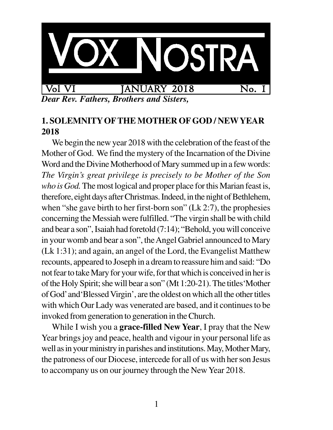

*Dear Rev. Fathers, Brothers and Sisters,*

## **1. SOLEMNITY OFTHE MOTHER OF GOD / NEWYEAR 2018**

We begin the new year 2018 with the celebration of the feast of the Mother of God. We find the mystery of the Incarnation of the Divine Word and the Divine Motherhood of Mary summed up in a few words: *The Virgin's great privilege is precisely to be Mother of the Son who is God.* The most logical and proper place for this Marian feast is, therefore, eight days after Christmas. Indeed, in the night of Bethlehem, when "she gave birth to her first-born son" (Lk 2:7), the prophesies concerning the Messiah were fulfilled. "The virgin shall be with child and bear a son", Isaiah had foretold (7:14); "Behold, you will conceive in your womb and bear a son", the Angel Gabriel announced to Mary (Lk 1:31); and again, an angel of the Lord, the Evangelist Matthew recounts, appeared to Joseph in a dream to reassure him and said: "Do not fear to take Mary for your wife, for that which is conceived in her is of the Holy Spirit; she will bear a son" (Mt 1:20-21). The titles'Mother of God' and'Blessed Virgin', are the oldest on which all the other titles with which Our Lady was venerated are based, and it continues to be invoked from generation to generation in the Church.

While I wish you a **grace-filled New Year**, I pray that the New Year brings joy and peace, health and vigour in your personal life as well as in your ministry in parishes and institutions. May, Mother Mary, the patroness of our Diocese, intercede for all of us with her son Jesus to accompany us on our journey through the New Year 2018.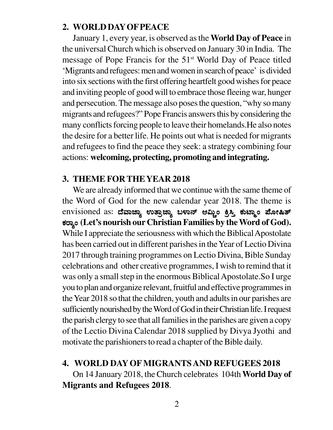#### **2. WORLD DAY OF PEACE**

January 1, every year, is observed as the **World Day of Peace** in the universal Church which is observed on January 30 in India. The message of Pope Francis for the 51<sup>st</sup> World Day of Peace titled 'Migrants and refugees: men and women in search of peace' is divided into six sections with the first offering heartfelt good wishes for peace and inviting people of good will to embrace those fleeing war, hunger and persecution. The message also poses the question, "why so many migrants and refugees?" Pope Francis answers this by considering the many conflicts forcing people to leave their homelands.He also notes the desire for a better life. He points out what is needed for migrants and refugees to find the peace they seek: a strategy combining four actions: **welcoming, protecting, promoting and integrating.**

### **3. THEME FOR THE YEAR 2018**

We are already informed that we continue with the same theme of the Word of God for the new calendar year 2018. The theme is envisioned as: ದೆವಾಚ್ಯಾ ಉತ್ರಾಚ್ಯಾ ಬಳಾನ್ ಆಮ್ಜಿಂ ಕ್ರಿಸ್ತಿ ಕುಟ್ಮಾಂ ಪೋಷಿತ್ PÀgÁåA **(Let's nourish our Christian Families by the Word of God).** While I appreciate the seriousness with which the Biblical Apostolate has been carried out in different parishes in the Year of Lectio Divina 2017 through training programmes on Lectio Divina, Bible Sunday celebrations and other creative programmes, I wish to remind that it was only a small step in the enormous Biblical Apostolate.So I urge you to plan and organize relevant, fruitful and effective programmes in the Year 2018 so that the children, youth and adults in our parishes are sufficiently nourished by the Word of God in their Christian life. I request the parish clergy to see that all families in the parishes are given a copy of the Lectio Divina Calendar 2018 supplied by Divya Jyothi and motivate the parishioners to read a chapter of the Bible daily.

### **4. WORLD DAY OF MIGRANTS AND REFUGEES 2018**

On 14 January 2018, the Church celebrates 104th **World Day of Migrants and Refugees 2018**.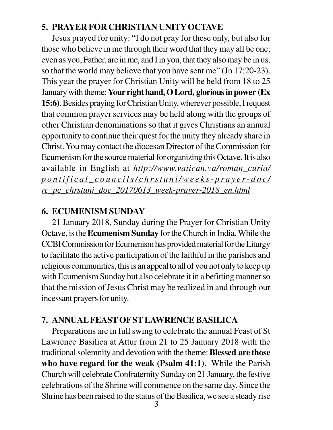# **5. PRAYER FOR CHRISTIAN UNITY OCTAVE**

Jesus prayed for unity: "I do not pray for these only, but also for those who believe in me through their word that they may all be one; even as you, Father, are in me, and I in you, that they also may be in us, so that the world may believe that you have sent me" (Jn 17:20-23). This year the prayer for Christian Unity will be held from 18 to 25 January with theme: **Your right hand, O Lord, glorious in power (Ex 15:6)**. Besides praying for Christian Unity, wherever possible, I request that common prayer services may be held along with the groups of other Christian denominations so that it gives Christians an annual opportunity to continue their quest for the unity they already share in Christ. You may contact the diocesan Director of the Commission for Ecumenism for the source material for organizing this Octave. It is also available in English at *http://www.vatican.va/roman\_curia/ pontifical\_councils/chrstuni/weeks-prayer-doc/ rc\_pc\_chrstuni\_doc\_20170613\_week-prayer-2018\_en.html*

# **6. ECUMENISM SUNDAY**

21 January 2018, Sunday during the Prayer for Christian Unity Octave, is the **Ecumenism Sunday** for the Church in India. While the CCBI Commission for Ecumenism has provided material for the Liturgy to facilitate the active participation of the faithful in the parishes and religious communities, this is an appeal to all of you not only to keep up with Ecumenism Sunday but also celebrate it in a befitting manner so that the mission of Jesus Christ may be realized in and through our incessant prayers for unity.

# **7. ANNUAL FEAST OF ST LAWRENCE BASILICA**

Preparations are in full swing to celebrate the annual Feast of St Lawrence Basilica at Attur from 21 to 25 January 2018 with the traditional solemnity and devotion with the theme: **Blessed are those who have regard for the weak (Psalm 41:1)**. While the Parish Church will celebrate Confraternity Sunday on 21 January, the festive celebrations of the Shrine will commence on the same day. Since the Shrine has been raised to the status of the Basilica, we see a steady rise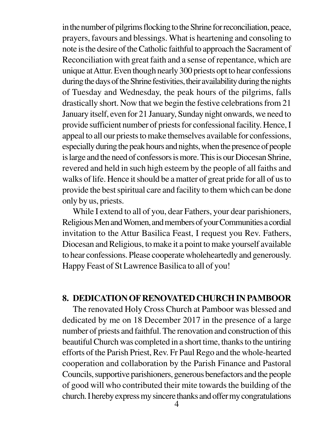in the number of pilgrims flocking to the Shrine for reconciliation, peace, prayers, favours and blessings. What is heartening and consoling to note is the desire of the Catholic faithful to approach the Sacrament of Reconciliation with great faith and a sense of repentance, which are unique at Attur. Even though nearly 300 priests opt to hear confessions during the days of the Shrine festivities, their availability during the nights of Tuesday and Wednesday, the peak hours of the pilgrims, falls drastically short. Now that we begin the festive celebrations from 21 January itself, even for 21 January, Sunday night onwards, we need to provide sufficient number of priests for confessional facility. Hence, I appeal to all our priests to make themselves available for confessions, especially during the peak hours and nights, when the presence of people is large and the need of confessors is more. This is our Diocesan Shrine, revered and held in such high esteem by the people of all faiths and walks of life. Hence it should be a matter of great pride for all of us to provide the best spiritual care and facility to them which can be done only by us, priests.

While I extend to all of you, dear Fathers, your dear parishioners, Religious Men and Women, and members of your Communities a cordial invitation to the Attur Basilica Feast, I request you Rev. Fathers, Diocesan and Religious, to make it a point to make yourself available to hear confessions. Please cooperate wholeheartedly and generously. Happy Feast of St Lawrence Basilica to all of you!

#### **8. DEDICATION OF RENOVATED CHURCH IN PAMBOOR**

The renovated Holy Cross Church at Pamboor was blessed and dedicated by me on 18 December 2017 in the presence of a large number of priests and faithful. The renovation and construction of this beautiful Church was completed in a short time, thanks to the untiring efforts of the Parish Priest, Rev. Fr Paul Rego and the whole-hearted cooperation and collaboration by the Parish Finance and Pastoral Councils, supportive parishioners, generous benefactors and the people of good will who contributed their mite towards the building of the church. I hereby express my sincere thanks and offer my congratulations